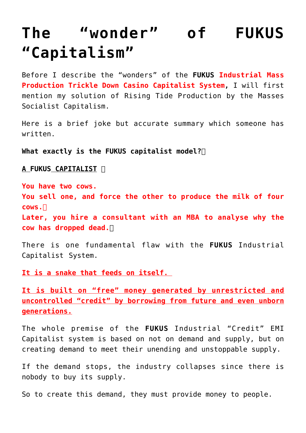## **[The "wonder" of FUKUS](https://aryadharma.world/fukus/fukus-capitalism/) ["Capitalism"](https://aryadharma.world/fukus/fukus-capitalism/)**

Before I describe the "wonders" of the **[FUKUS](http://aryadharma.world/fukus/) Industrial Mass Production Trickle Down Casino Capitalist System,** I will first mention my solution of [Rising Tide Production by the Masses](http://aryadharma.world/concepts/rising-tide-production-by-the-masses-socialist-capitalism) [Socialist Capitalism](http://aryadharma.world/concepts/rising-tide-production-by-the-masses-socialist-capitalism).

Here is a brief joke but accurate summary which someone has written.

**What exactly is the [FUKUS](http://aryadharma.world/fukus/) capitalist model?**

**A [FUKUS](http://aryadharma.world/fukus/) CAPITALIST** 

**You have two cows. You sell one, and force the other to produce the milk of four cows. Later, you hire a consultant with an MBA to analyse why the cow has dropped dead.**

There is one fundamental flaw with the **[FUKUS](http://aryadharma.world/fukus/)** Industrial Capitalist System.

**It is a snake that feeds on itself.** 

**It is built on "free" money generated by unrestricted and uncontrolled "credit" by borrowing from future and even unborn generations.**

The whole premise of the **[FUKUS](http://aryadharma.world/fukus/)** Industrial "Credit" EMI Capitalist system is based on not on demand and supply, but on creating demand to meet their unending and unstoppable supply.

If the demand stops, the industry collapses since there is nobody to buy its supply.

So to create this demand, they must provide money to people.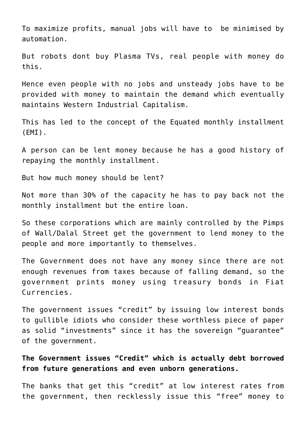To maximize profits, manual jobs will have to be minimised by automation.

But robots dont buy Plasma TVs, real people with money do this.

Hence even people with no jobs and unsteady jobs have to be provided with money to maintain the demand which eventually maintains Western Industrial Capitalism.

This has led to the concept of the [Equated monthly installment](https://en.wikipedia.org/wiki/Equated_monthly_installment) (EMI).

A person can be lent money because he has a good history of repaying the monthly installment.

But how much money should be lent?

Not more than 30% of the capacity he has to pay back not the monthly installment but the entire loan.

So these corporations which are mainly controlled by the [Pimps](http://aryadharma.world/wallstreetpimps/) [of Wall/Dalal Street](http://aryadharma.world/wallstreetpimps/) get the government to lend money to the people and more importantly to themselves.

The Government does not have any money since there are not enough revenues from taxes because of falling demand, so the government prints money using treasury bonds in [Fiat](http://aryadharma.world/ponzipetrodollar/) [Currencies.](http://aryadharma.world/ponzipetrodollar/)

The government issues "credit" by issuing low interest bonds to gullible idiots who consider these worthless piece of paper as solid "investments" since it has the sovereign "guarantee" of the government.

**The Government issues "Credit" which is actually debt borrowed from future generations and even unborn generations.**

The banks that get this "credit" at low interest rates from the government, then recklessly issue this "free" money to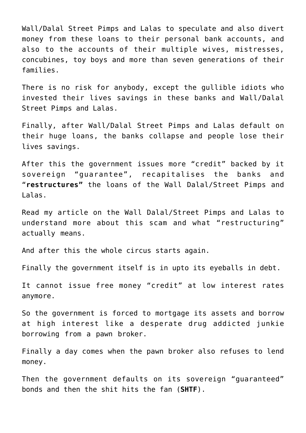[Wall/Dalal Street Pimps and Lalas](http://aryadharma.world/wallstreetpimps/) to speculate and also divert money from these loans to their personal bank accounts, and also to the accounts of their multiple wives, mistresses, concubines, toy boys and more than seven generations of their families.

There is no risk for anybody, except the gullible idiots who invested their lives savings in these banks and [Wall/Dalal](http://aryadharma.world/wallstreetpimps/) [Street Pimps and Lalas](http://aryadharma.world/wallstreetpimps/).

Finally, after [Wall/Dalal Street Pimps and Lalas](http://aryadharma.world/wallstreetpimps/) default on their huge loans, the banks collapse and people lose their lives savings.

After this the government issues more "credit" backed by it sovereign "guarantee", [recapitalises](https://en.wikipedia.org/wiki/Recapitalization) the banks and "**restructures"** the loans of the [Wall Dalal/Street Pimps and](http://aryadharma.world/wallstreetpimps/) [Lalas](http://aryadharma.world/wallstreetpimps/).

Read my article on the [Wall Dalal/Street Pimps and Lalas](http://aryadharma.world/wallstreetpimps/) to understand more about this scam and what "restructuring" actually means.

And after this the whole circus starts again.

Finally the government itself is in upto its eyeballs in debt.

It cannot issue free money "credit" at low interest rates anymore.

So the government is forced to mortgage its assets and borrow at high interest like a desperate drug addicted [junkie](https://en.wikipedia.org/wiki/Junkie) borrowing from a [pawn broker](https://en.wikipedia.org/wiki/Pawnbroker).

Finally a day comes when the pawn broker also refuses to lend money.

Then the government defaults on its sovereign "guaranteed" bonds and then the shit hits the fan (**SHTF**).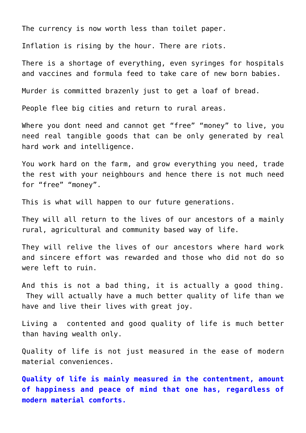The currency is now worth less than toilet paper.

Inflation is rising by the hour. There are riots.

There is a shortage of everything, even syringes for hospitals and vaccines and formula feed to take care of new born babies.

Murder is committed brazenly just to get a loaf of bread.

People flee big cities and return to rural areas.

Where you dont need and cannot get "free" "money" to live, you need real tangible goods that can be only generated by real hard work and intelligence.

You work hard on the farm, and grow everything you need, trade the rest with your neighbours and hence there is not much need for "free" "money".

This is what will happen to our future generations.

They will all return to the lives of our ancestors of a mainly rural, agricultural and community based way of life.

They will relive the lives of our ancestors where hard work and sincere effort was rewarded and those who did not do so were left to ruin.

And this is not a bad thing, it is actually a good thing. They will actually have a much better quality of life than we have and live their lives with great joy.

Living a contented and good quality of life is much better than having wealth only.

Quality of life is not just measured in the ease of modern material conveniences.

**Quality of life is mainly measured in the contentment, amount of happiness and peace of mind that one has, regardless of modern material comforts.**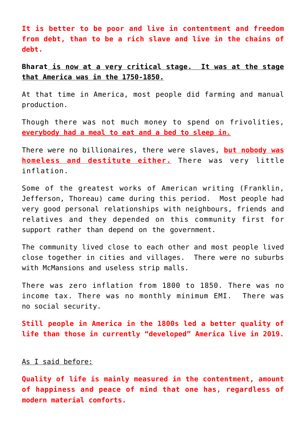**It is better to be poor and live in contentment and freedom from debt, than to be a rich slave and live in the chains of debt.**

**[Bharat](http://aryadharma.world/bharat/) is now at a very critical stage. It was at the stage that America was in the 1750-1850.**

At that time in America, most people did farming and manual production.

Though there was not much money to spend on frivolities, **everybody had a meal to eat and a bed to sleep in.**

There were no billionaires, there were slaves, **but nobody was homeless and destitute either.** There was very little inflation.

Some of the greatest works of American writing ([Franklin,](http://en.wikipedia.org/wiki/Benjamin_Franklin) [Jefferson](http://en.wikipedia.org/wiki/Thomas_Jefferson), [Thoreau](http://en.wikipedia.org/wiki/Henry_David_Thoreau)) came during this period. Most people had very good personal relationships with neighbours, friends and relatives and they depended on this community first for support rather than depend on the government.

The community lived close to each other and most people lived close together in cities and villages. There were no suburbs with McMansions and useless strip malls.

There was zero inflation from 1800 to 1850. There was no income tax. There was no monthly minimum EMI. There was no [social security.](http://en.wikipedia.org/wiki/Social_security)

**Still people in America in the 1800s led a better quality of life than those in currently "developed" America live in 2019.**

## As I said before:

**Quality of life is mainly measured in the contentment, amount of happiness and peace of mind that one has, regardless of modern material comforts.**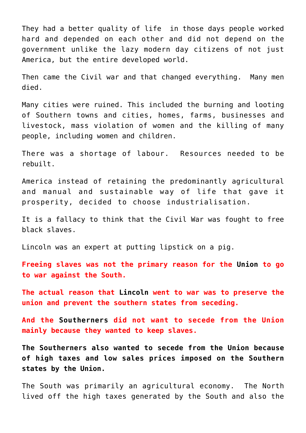They had a better quality of life in those days people worked hard and depended on each other and did not depend on the government unlike the lazy modern day citizens of not just America, but the entire developed world.

Then came the [Civil war](http://en.wikipedia.org/wiki/Civil_war) and that changed everything. Many men died.

Many cities were ruined. This included the [burning and looting](http://en.wikipedia.org/wiki/Sherman%27s_March_to_the_Sea) [of Southern towns and cities](http://en.wikipedia.org/wiki/Sherman%27s_March_to_the_Sea), homes, farms, businesses and livestock, mass violation of women and the killing of many people, including women and children.

There was a shortage of labour. Resources needed to be rebuilt.

America instead of retaining the predominantly agricultural and manual and sustainable way of life that gave it prosperity, decided to choose industrialisation.

It is a fallacy to think that the Civil War was fought to free black slaves.

[Lincoln](https://en.wikipedia.org/wiki/Abraham_Lincoln) was an expert at [putting lipstick on a pig.](http://en.wikipedia.org/wiki/Lipstick_on_a_pig)

**Freeing slaves was not the primary reason for the [Union](https://en.wikipedia.org/wiki/Union_(American_Civil_War)) to go to war against the South.**

**The actual reason that [Lincoln](https://en.wikipedia.org/wiki/Abraham_Lincoln) went to war was to preserve the union and prevent the southern states from seceding.**

**And the [Southerners](https://en.wikipedia.org/wiki/Confederate_States_of_America) did not want to secede from the Union mainly because they wanted to keep slaves.**

**The Southerners also wanted to secede from the Union because of high taxes and low sales prices imposed on the Southern states by the Union.**

The South was primarily an agricultural economy. The North lived off the high taxes generated by the South and also the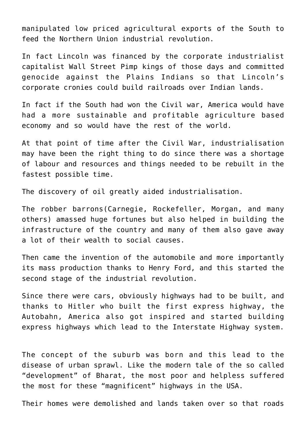manipulated low priced agricultural exports of the South to feed the Northern Union industrial revolution.

In fact Lincoln was financed by the corporate industrialist capitalist [Wall Street Pimp k](http://aryadharma.world/fukus/wallstreetpimps/)ings of those days and [committed](http://en.wikipedia.org/wiki/American_Indian_Wars#Colorado_War.2C_Sand_Creek_Massacre_and_the_Sioux_War_of_1865) [genocide](http://en.wikipedia.org/wiki/American_Indian_Wars#Colorado_War.2C_Sand_Creek_Massacre_and_the_Sioux_War_of_1865) against the Plains Indians so that Lincoln's corporate cronies could build railroads over Indian lands.

In fact if the South had won the Civil war, America would have had a more sustainable and profitable agriculture based economy and so would have the rest of the world.

At that point of time after the Civil War, industrialisation may have been the right thing to do since there was a shortage of labour and resources and things needed to be rebuilt in the fastest possible time.

The discovery of oil greatly aided industrialisation.

The [robber barrons](http://en.wikipedia.org/wiki/Robber_baron_(industrialist)#List_of_businessmen_who_were_labeled_as_robber_barons)([Carnegie,](http://en.wikipedia.org/wiki/Andrew_Carnegie) [Rockefeller](http://en.wikipedia.org/wiki/John_D._Rockefeller), [Morgan](http://en.wikipedia.org/wiki/J._P._Morgan), and many others) amassed huge fortunes but also helped in building the infrastructure of the country and many of them also gave away a lot of their wealth to social causes.

Then came the invention of the automobile and more importantly its mass production thanks to [Henry Ford,](http://en.wikipedia.org/wiki/Henry_Ford) and this started the second stage of the industrial revolution.

Since there were cars, obviously highways had to be built, and thanks to [Hitler](http://en.wikipedia.org/wiki/Adolf_Hitler) who built the first express highway, the [Autobahn](http://en.wikipedia.org/wiki/Autobahn), America also got inspired and started building express highways which lead to the [Interstate Highway system.](http://en.wikipedia.org/wiki/Interstate_Highway_System)

The concept of the [suburb](http://en.wikipedia.org/wiki/Suburb) was born and this lead to the disease of [urban sprawl.](http://en.wikipedia.org/wiki/Urban_sprawl) Like the modern tale of the so called "development" of [Bharat](http://aryadharma.world/bharat/), the most poor and helpless suffered the most for these "magnificent" highways in the USA.

Their homes were demolished and lands taken over so that roads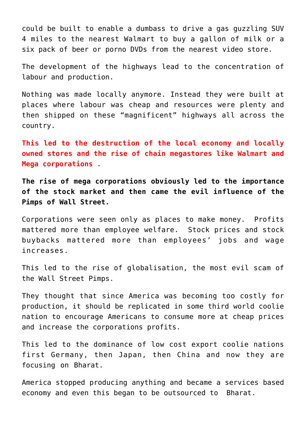could be built to enable a dumbass to drive a gas guzzling [SUV](http://en.wikipedia.org/wiki/Sport_utility_vehicle) 4 miles to the nearest [Walmart](http://en.wikipedia.org/wiki/Walmart) to buy a gallon of milk or a six pack of beer or porno DVDs from the nearest video store.

The development of the highways lead to the concentration of labour and production.

Nothing was made locally anymore. Instead they were built at places where labour was cheap and resources were plenty and then shipped on these "magnificent" highways all across the country.

**This led to the destruction of the local economy and locally owned stores and the rise of chain megastores like [Walmart](http://en.wikipedia.org/wiki/Walmart) and [Mega corporations](http://en.wikipedia.org/wiki/Corporatocracy) .**

**The rise of mega corporations obviously led to the importance of the stock market and then came the evil influence of the [Pimps of Wall Street](http://aryadharma.world/wallstreetpimps/).**

Corporations were seen only as places to make money. Profits mattered more than employee welfare. Stock prices and stock buybacks mattered more than employees' jobs and wage increases.

This led to the rise of [globalisation,](http://aryadharma.world/globalisation/) the most evil scam of the [Wall Street Pimps](http://aryadharma.world/wallstreetpimps/).

They thought that since America was becoming too costly for production, it should be replicated in some third world coolie nation to encourage Americans to consume more at cheap prices and increase the corporations profits.

This led to the dominance of low cost export coolie nations first Germany, then Japan, then China and now they are focusing on [Bharat.](http://aryadharma.world/bharat/)

America stopped producing anything and became a services based economy and even this began to be outsourced to [Bharat.](http://aryadharma.world/bharat/)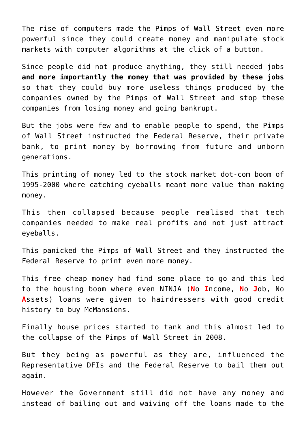The rise of computers made the [Pimps of Wall Street](http://aryadharma.world/wallstreetpimps/) even more powerful since they could create money and manipulate stock markets with computer algorithms at the click of a button.

Since people did not produce anything, they still needed jobs **and more importantly the money that was provided by these jobs** so that they could buy more useless things produced by the companies owned by the [Pimps of Wall Street](http://aryadharma.world/wallstreetpimps/) and stop these companies from losing money and going bankrupt.

But the jobs were few and to enable people to spend, the [Pimps](http://aryadharma.world/wallstreetpimps/) [of Wall Street](http://aryadharma.world/wallstreetpimps/) instructed the [Federal Reserve](http://en.wikipedia.org/wiki/Federal_Reserve_System), [their private](http://www.globalresearch.ca/who-owns-the-federal-reserve/10489) [bank,](http://www.globalresearch.ca/who-owns-the-federal-reserve/10489) to print money by borrowing from future and unborn generations.

This printing of money led to the stock market [dot-com boom](https://en.wikipedia.org/wiki/Dot-com_bubble) of 1995-2000 where [catching eyeballs](https://www.washingtonpost.com/archive/business/1999/11/14/valuing-dot-coms-counting-eyeballs-isnt-enough) meant more value than making money.

This then collapsed because people realised that tech companies needed to make real profits and not just attract eyeballs.

This panicked the [Pimps of Wall Street](http://aryadharma.world/wallstreetpimps/) and they instructed the [Federal Reserve](http://en.wikipedia.org/wiki/Federal_Reserve_System) to print even more money.

This free cheap money had find some place to go and this led to the housing boom where even [NINJA \(](http://en.wikipedia.org/wiki/No_Income_No_Asset#No_Income_No_Job_no_Assets)**[N](http://en.wikipedia.org/wiki/No_Income_No_Asset#No_Income_No_Job_no_Assets)**[o](http://en.wikipedia.org/wiki/No_Income_No_Asset#No_Income_No_Job_no_Assets) **[I](http://en.wikipedia.org/wiki/No_Income_No_Asset#No_Income_No_Job_no_Assets)**[ncome,](http://en.wikipedia.org/wiki/No_Income_No_Asset#No_Income_No_Job_no_Assets) **[N](http://en.wikipedia.org/wiki/No_Income_No_Asset#No_Income_No_Job_no_Assets)**[o](http://en.wikipedia.org/wiki/No_Income_No_Asset#No_Income_No_Job_no_Assets) **[J](http://en.wikipedia.org/wiki/No_Income_No_Asset#No_Income_No_Job_no_Assets)**[ob, No](http://en.wikipedia.org/wiki/No_Income_No_Asset#No_Income_No_Job_no_Assets) **[A](http://en.wikipedia.org/wiki/No_Income_No_Asset#No_Income_No_Job_no_Assets)**[ssets\)](http://en.wikipedia.org/wiki/No_Income_No_Asset#No_Income_No_Job_no_Assets) loans were given to hairdressers with good credit history to buy [McMansions.](http://en.wikipedia.org/wiki/McMansion)

Finally house prices started to tank and this almost led to the collapse of the [Pimps of Wall Street](http://aryadharma.world/wallstreetpimps/) in 2008.

But they being as powerful as they are, influenced the [Representative DFIs](http://aryadharma.world/repsofpeople/) and the [Federal Reserve](http://en.wikipedia.org/wiki/Federal_Reserve_System) to bail them out again.

However the Government still did not have any money and instead of bailing out and waiving off the loans made to the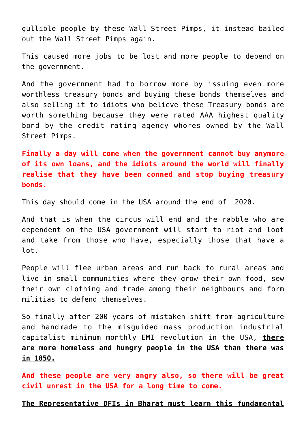gullible people by these [Wall Street Pimps,](http://aryadharma.world/repsofpeople/) it instead bailed out the [Wall Street Pimps](http://aryadharma.world/repsofpeople/) again.

This caused more jobs to be lost and more people to depend on the government.

And the government had to borrow more by issuing even more worthless treasury bonds and buying these bonds themselves and also selling it to idiots who believe these Treasury bonds are worth something because they were rated [AAA highest quality](https://en.wikipedia.org/wiki/Bond_credit_rating) [bond](https://en.wikipedia.org/wiki/Bond_credit_rating) by the [credit rating agency](https://en.wikipedia.org/wiki/Credit_rating_agency) whores owned by the [Wall](http://aryadharma.world/fukus/wallstreetpimps/) [Street Pimps.](http://aryadharma.world/fukus/wallstreetpimps/)

**Finally a day will come when the government cannot buy anymore of its own loans, and the idiots around the world will finally realise that they have been conned and stop buying treasury bonds.**

This day should come in the USA around the end of 2020.

And that is when the circus will end and the rabble who are dependent on the USA government will start to riot and loot and take from those who have, especially those that have a lot.

People will flee urban areas and run back to rural areas and live in small communities where they grow their own food, sew their own clothing and trade among their neighbours and form militias to defend themselves.

So finally after 200 years of mistaken shift from agriculture and handmade to the misguided mass production industrial capitalist minimum monthly EMI revolution in the USA, **there are more homeless and hungry people in the USA than there was in 1850.**

**And these people are very angry also, so there will be great civil unrest in the USA for a long time to come.**

**The [Representative DFIs](http://aryadharma.world/fukus/repsofpeople/) in [Bharat](http://aryadharma.world/bharat/) must learn this fundamental**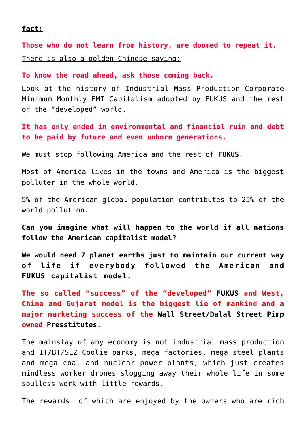## **fact:**

**Those who do not learn from history, are doomed to repeat it.** There is also a golden Chinese saying:

**To know the road ahead, ask those coming back.**

Look at the history of Industrial Mass Production Corporate Minimum Monthly EMI Capitalism adopted by FUKUS and the rest of the "developed" world.

**It has only ended in environmental and financial ruin and debt to be paid by future and even unborn generations.**

We must stop following America and the rest of **[FUKUS](http://aryadharma.world/fukus/)**.

Most of America lives in the towns and America is the biggest polluter in the whole world.

5% of the American global population contributes to 25% of the world pollution.

**Can you imagine what will happen to the world if all nations follow the American capitalist model?**

**We would need 7 planet earths just to maintain our current way of life if everybody followed the American and [FUKUS](http://aryadharma.world/fukus/) capitalist model.**

**The so called "success" of the "developed" [FUKUS](http://aryadharma.world/fukus/) and West, China and Gujarat model is the biggest lie of mankind and a major marketing success of the [Wall Street/Dalal Street Pimp](http://aryadharma.world/fukus/wallstreetpimps/) owned [Presstitutes.](http://en.wiktionary.org/wiki/presstitute)**

The mainstay of any economy is not industrial mass production and IT/BT/SEZ Coolie parks, mega factories, mega steel plants and mega coal and nuclear power plants, which just creates mindless worker drones slogging away their whole life in some soulless work with little rewards.

The rewards of which are enjoyed by the owners who are rich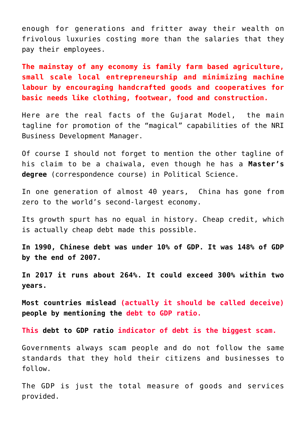enough for generations and fritter away their wealth on frivolous luxuries costing more than the salaries that they pay their employees.

**The mainstay of any economy is family farm based agriculture, small scale local entrepreneurship and minimizing machine labour by encouraging handcrafted goods and cooperatives for basic needs like clothing, footwear, food and construction.**

Here are [the real facts of the Gujarat Model](http://www.moneylife.in/article/the-gujarat-model-ndash-some-facts/51106.html), the main tagline for promotion of the "magical" capabilities of the NRI Business Development Manager.

Of course I should not forget to mention the other tagline of his claim to be a [chaiwala,](https://en.wikipedia.org/wiki/Chaiwala) even though he has a **[Master's](https://en.wikipedia.org/wiki/Master%27s_degree) [degree](https://en.wikipedia.org/wiki/Master%27s_degree)** (correspondence course) in [Political Science.](https://en.wikipedia.org/wiki/Political_science)

In one generation of almost 40 years, China has gone from zero to the world's second-largest economy.

Its growth spurt has no equal in history. Cheap credit, which is actually cheap debt made this possible.

**In 1990, Chinese debt was under 10% of GDP. It was 148% of GDP by the end of 2007.**

**In 2017 it runs about 264%. It could exceed 300% within two years.**

**Most countries mislead (actually it should be called deceive) people by mentioning the [debt to GDP ratio.](https://en.wikipedia.org/wiki/Debt-to-GDP_ratio)**

**This [debt to GDP ratio](https://en.wikipedia.org/wiki/Debt-to-GDP_ratio) indicator of debt is the biggest scam.**

Governments always scam people and do not follow the same standards that they hold their citizens and businesses to follow.

The GDP is just the total measure of goods and services provided.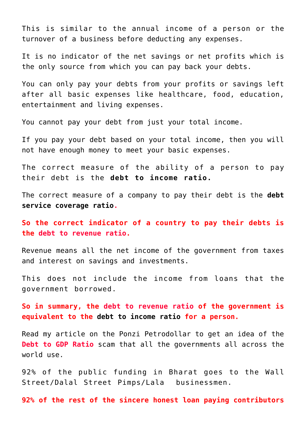This is similar to the annual income of a person or the turnover of a business before deducting any expenses.

It is no indicator of the net savings or net profits which is the only source from which you can pay back your debts.

You can only pay your debts from your profits or savings left after all basic expenses like healthcare, food, education, entertainment and living expenses.

You cannot pay your debt from just your total income.

If you pay your debt based on your total income, then you will not have enough money to meet your basic expenses.

The correct measure of the ability of a person to pay their debt is the **[debt to income ratio.](https://en.wikipedia.org/wiki/Debt-to-income_ratio)**

The correct measure of a company to pay their debt is the **[debt](https://en.wikipedia.org/wiki/Debt_service_coverage_ratio) [service coverage ratio](https://en.wikipedia.org/wiki/Debt_service_coverage_ratio).**

**So the correct indicator of a country to pay their debts is the debt to revenue ratio.**

Revenue means all the net income of the government from taxes and interest on savings and investments.

This does not include the income from loans that the government borrowed.

**So in summary, the debt to revenue ratio of the government is equivalent to the [debt to income ratio](https://en.wikipedia.org/wiki/Debt-to-income_ratio) for a person.**

Read my [article on the Ponzi Petrodollar](http://aryadharma.world/ponzipetrodollar/) to get an idea of the **Debt to GDP Ratio** scam that all the governments all across the world use.

92% of the public funding in [Bharat](http://aryadharma.world/bharat/) goes to the [Wall](http://aryadharma.world/fukus/wallstreetpimps/) [Street/Dalal Street Pimps/Lala businessmen.](http://aryadharma.world/fukus/wallstreetpimps/)

**92% of the rest of the sincere honest loan paying contributors**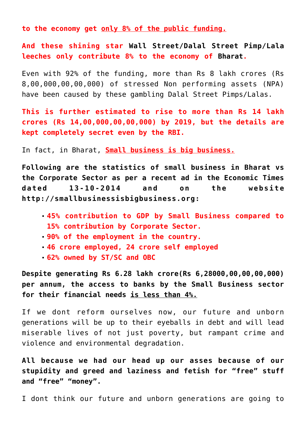**to the economy get only 8% of the public funding.**

**And these shining star [Wall Street/Dalal Street Pimp/Lala](http://aryadharma.world/fukus/wallstreetpimps/) leeches only contribute 8% to the economy of [Bharat.](http://aryadharma.world/bharat/)**

Even with 92% of the funding, more than Rs 8 lakh crores (Rs 8,00,000,00,00,000) of stressed [Non performing assets \(NPA\)](https://en.wikipedia.org/wiki/Non-performing_asset) have been caused by these gambling [Dalal Street Pimps/Lalas.](http://aryadharma.world/fukus/wallstreetpimps/)

**This is further estimated to rise to more than Rs 14 lakh crores (Rs 14,00,000,00,00,000) by 2019, but the details are kept completely secret even by the RBI.**

In fact, in Bharat, **Small business is big business.**

**Following are the statistics of small business in [Bharat](http://aryadharma.world/bharat/) vs the Corporate Sector as per a recent ad in the Economic Times dated 13-10-2014 and on the website [http://smallbusinessisbigbusiness.org:](http://smallbusinessisbigbusiness.org/)**

- **45% contribution to GDP by Small Business compared to 15% contribution by Corporate Sector.**
- **90% of the employment in the country.**
- **46 crore employed, 24 crore self employed**
- **62% owned by ST/SC and OBC**

**Despite generating Rs 6.28 lakh crore(Rs 6,28000,00,00,00,000) per annum, the access to banks by the Small Business sector for their financial needs is less than 4%.**

If we dont reform ourselves now, our future and unborn generations will be up to their eyeballs in debt and will lead miserable lives of not just poverty, but rampant crime and violence and environmental degradation.

**All because we had our head up our asses because of our stupidity and greed and laziness and fetish for "free" stuff and "free" "money".**

I dont think our future and unborn generations are going to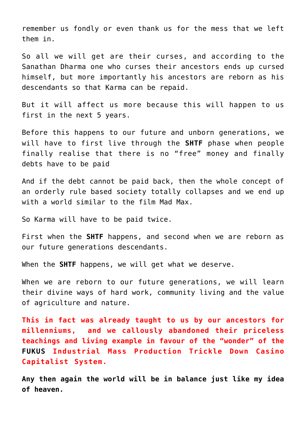remember us fondly or even thank us for the mess that we left them in.

So all we will get are their curses, and according to the [Sanathan Dharma](http://aryadharma.world/vedasandupanishads/) one who curses their ancestors ends up cursed himself, but more importantly his ancestors are reborn as his descendants so that Karma can be repaid.

But it will affect us more because this will happen to us first in the next 5 years.

Before this happens to our future and unborn generations, we will have to first live through the **[SHTF](http://www.urbandictionary.com/define.php?term=SHTF)** phase when people finally realise that there is no "free" money and finally debts have to be paid

And if the debt cannot be paid back, then the whole concept of an orderly rule based society totally collapses and we end up with a world similar to the film [Mad Max.](https://en.wikipedia.org/wiki/Mad_Max)

So Karma will have to be paid twice.

First when the **SHTF** happens, and second when we are reborn as our future generations descendants.

When the **SHTF** happens, we will get what we deserve.

When we are reborn to our future generations, we will learn their divine ways of hard work, community living and the value of agriculture and nature.

**This in fact was already taught to us by our ancestors for millenniums, and we callously abandoned their priceless teachings and living example in favour of the "wonder" of the [FUKUS](http://aryadharma.world/fukus/) Industrial Mass Production Trickle Down Casino Capitalist System.**

**Any then again the world will be in balance just like my [idea](http://aryadharma.world/my-idea-of-heaven/) [of heaven.](http://aryadharma.world/my-idea-of-heaven/)**